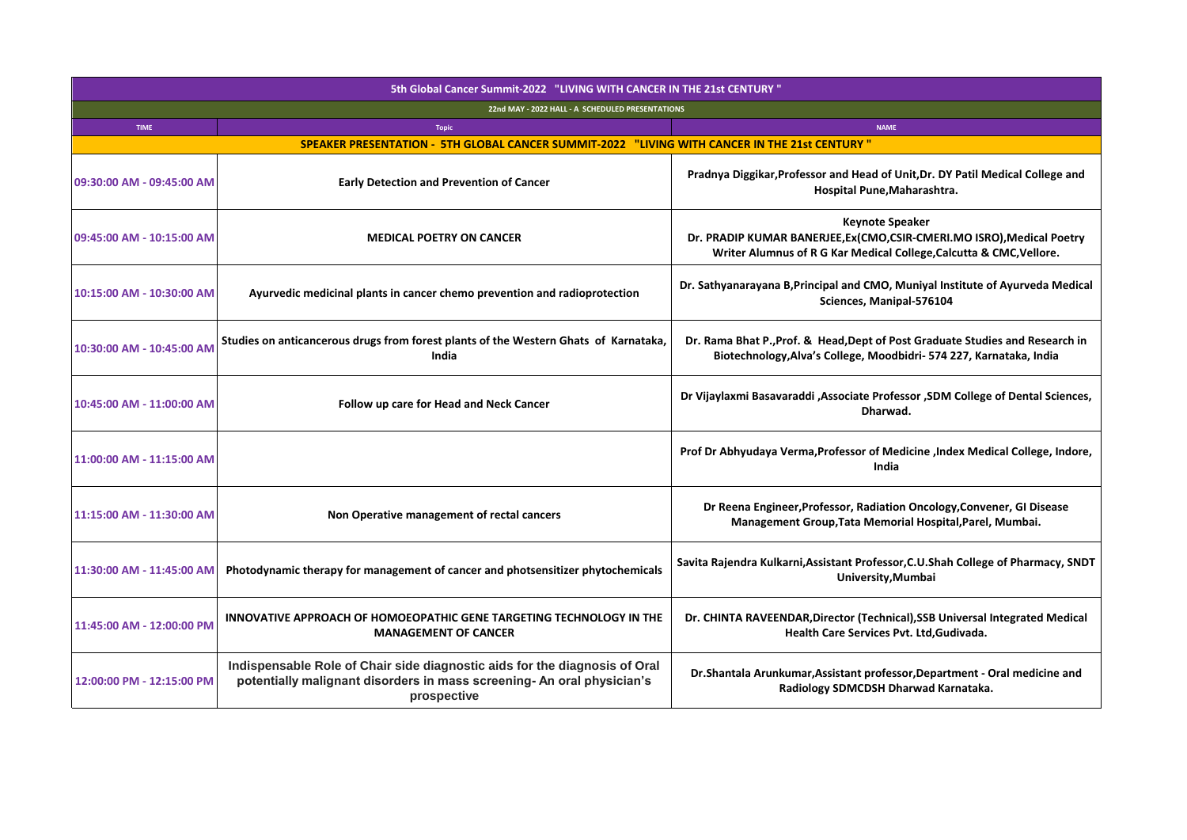| 5th Global Cancer Summit-2022 "LIVING WITH CANCER IN THE 21st CENTURY" |                                                                                                                                                                     |                                                                                                                                                                         |  |  |  |
|------------------------------------------------------------------------|---------------------------------------------------------------------------------------------------------------------------------------------------------------------|-------------------------------------------------------------------------------------------------------------------------------------------------------------------------|--|--|--|
| 22nd MAY - 2022 HALL - A SCHEDULED PRESENTATIONS                       |                                                                                                                                                                     |                                                                                                                                                                         |  |  |  |
| <b>TIME</b>                                                            | <b>Topic</b>                                                                                                                                                        | <b>NAME</b>                                                                                                                                                             |  |  |  |
|                                                                        | SPEAKER PRESENTATION - 5TH GLOBAL CANCER SUMMIT-2022 "LIVING WITH CANCER IN THE 21st CENTURY"                                                                       |                                                                                                                                                                         |  |  |  |
| 09:30:00 AM - 09:45:00 AM                                              | <b>Early Detection and Prevention of Cancer</b>                                                                                                                     | Pradnya Diggikar, Professor and Head of Unit, Dr. DY Patil Medical College and<br>Hospital Pune, Maharashtra.                                                           |  |  |  |
| 09:45:00 AM - 10:15:00 AM                                              | <b>MEDICAL POETRY ON CANCER</b>                                                                                                                                     | <b>Keynote Speaker</b><br>Dr. PRADIP KUMAR BANERJEE, Ex(CMO, CSIR-CMERI.MO ISRO), Medical Poetry<br>Writer Alumnus of R G Kar Medical College, Calcutta & CMC, Vellore. |  |  |  |
| 10:15:00 AM - 10:30:00 AM                                              | Ayurvedic medicinal plants in cancer chemo prevention and radioprotection                                                                                           | Dr. Sathyanarayana B, Principal and CMO, Muniyal Institute of Ayurveda Medical<br>Sciences, Manipal-576104                                                              |  |  |  |
| 10:30:00 AM - 10:45:00 AM                                              | Studies on anticancerous drugs from forest plants of the Western Ghats of Karnataka,<br>India                                                                       | Dr. Rama Bhat P., Prof. & Head, Dept of Post Graduate Studies and Research in<br>Biotechnology, Alva's College, Moodbidri- 574 227, Karnataka, India                    |  |  |  |
| 10:45:00 AM - 11:00:00 AM                                              | Follow up care for Head and Neck Cancer                                                                                                                             | Dr Vijaylaxmi Basavaraddi , Associate Professor , SDM College of Dental Sciences,<br>Dharwad.                                                                           |  |  |  |
| 11:00:00 AM - 11:15:00 AM                                              |                                                                                                                                                                     | Prof Dr Abhyudaya Verma, Professor of Medicine , Index Medical College, Indore,<br>India                                                                                |  |  |  |
| 11:15:00 AM - 11:30:00 AM                                              | Non Operative management of rectal cancers                                                                                                                          | Dr Reena Engineer, Professor, Radiation Oncology, Convener, GI Disease<br>Management Group, Tata Memorial Hospital, Parel, Mumbai.                                      |  |  |  |
| 11:30:00 AM - 11:45:00 AM                                              | Photodynamic therapy for management of cancer and photsensitizer phytochemicals                                                                                     | Savita Rajendra Kulkarni, Assistant Professor, C.U.Shah College of Pharmacy, SNDT<br>University, Mumbai                                                                 |  |  |  |
| 11:45:00 AM - 12:00:00 PM                                              | INNOVATIVE APPROACH OF HOMOEOPATHIC GENE TARGETING TECHNOLOGY IN THE<br><b>MANAGEMENT OF CANCER</b>                                                                 | Dr. CHINTA RAVEENDAR, Director (Technical), SSB Universal Integrated Medical<br>Health Care Services Pvt. Ltd, Gudivada.                                                |  |  |  |
| 12:00:00 PM - 12:15:00 PM                                              | Indispensable Role of Chair side diagnostic aids for the diagnosis of Oral<br>potentially malignant disorders in mass screening- An oral physician's<br>prospective | Dr. Shantala Arunkumar, Assistant professor, Department - Oral medicine and<br>Radiology SDMCDSH Dharwad Karnataka.                                                     |  |  |  |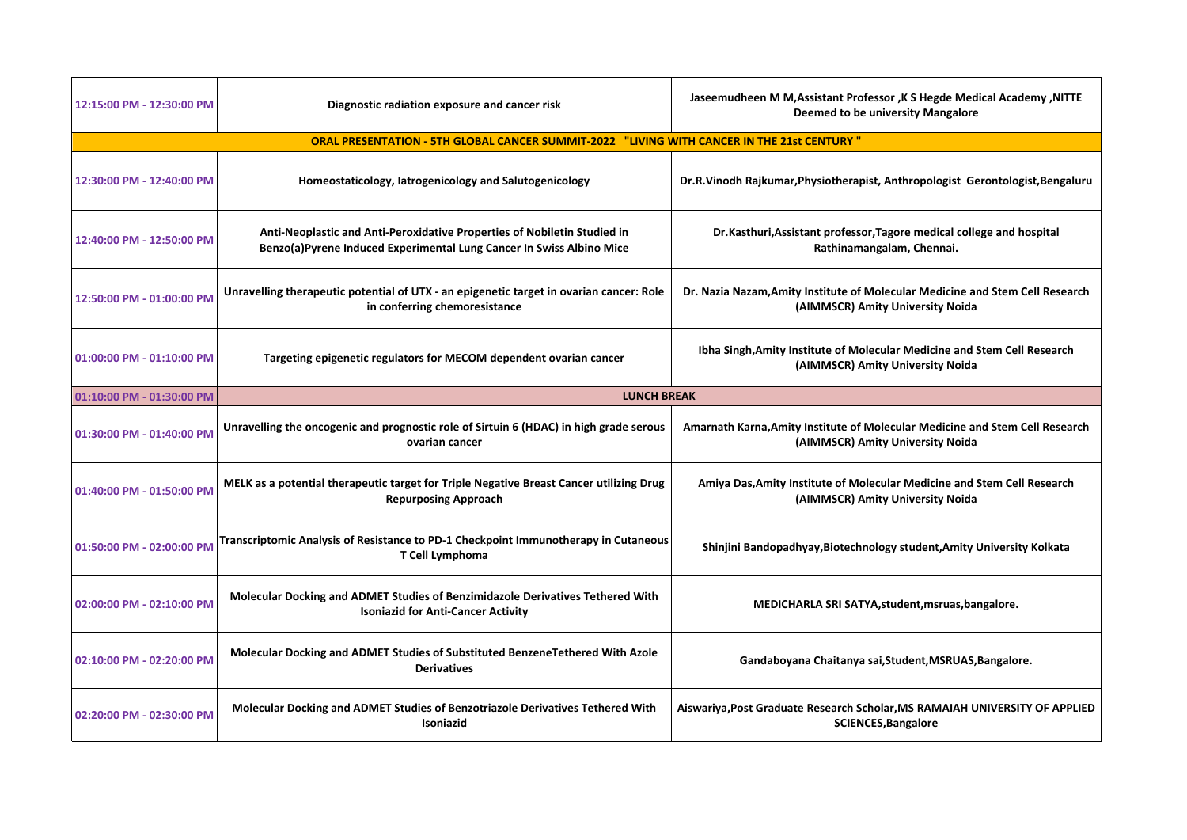| 12:15:00 PM - 12:30:00 PM                                                                  | Diagnostic radiation exposure and cancer risk                                                                                                    | Jaseemudheen M M, Assistant Professor, K S Hegde Medical Academy, NITTE<br><b>Deemed to be university Mangalore</b> |  |  |  |
|--------------------------------------------------------------------------------------------|--------------------------------------------------------------------------------------------------------------------------------------------------|---------------------------------------------------------------------------------------------------------------------|--|--|--|
| ORAL PRESENTATION - 5TH GLOBAL CANCER SUMMIT-2022 "LIVING WITH CANCER IN THE 21st CENTURY" |                                                                                                                                                  |                                                                                                                     |  |  |  |
| 12:30:00 PM - 12:40:00 PM                                                                  | Homeostaticology, latrogenicology and Salutogenicology                                                                                           | Dr.R.Vinodh Rajkumar, Physiotherapist, Anthropologist Gerontologist, Bengaluru                                      |  |  |  |
| 12:40:00 PM - 12:50:00 PM                                                                  | Anti-Neoplastic and Anti-Peroxidative Properties of Nobiletin Studied in<br>Benzo(a)Pyrene Induced Experimental Lung Cancer In Swiss Albino Mice | Dr.Kasthuri, Assistant professor, Tagore medical college and hospital<br>Rathinamangalam, Chennai.                  |  |  |  |
| 12:50:00 PM - 01:00:00 PM                                                                  | Unravelling therapeutic potential of UTX - an epigenetic target in ovarian cancer: Role<br>in conferring chemoresistance                         | Dr. Nazia Nazam, Amity Institute of Molecular Medicine and Stem Cell Research<br>(AIMMSCR) Amity University Noida   |  |  |  |
| 01:00:00 PM - 01:10:00 PM                                                                  | Targeting epigenetic regulators for MECOM dependent ovarian cancer                                                                               | Ibha Singh, Amity Institute of Molecular Medicine and Stem Cell Research<br>(AIMMSCR) Amity University Noida        |  |  |  |
| 01:10:00 PM - 01:30:00 PM                                                                  | <b>LUNCH BREAK</b>                                                                                                                               |                                                                                                                     |  |  |  |
| 01:30:00 PM - 01:40:00 PM                                                                  | Unravelling the oncogenic and prognostic role of Sirtuin 6 (HDAC) in high grade serous<br>ovarian cancer                                         | Amarnath Karna, Amity Institute of Molecular Medicine and Stem Cell Research<br>(AIMMSCR) Amity University Noida    |  |  |  |
| 01:40:00 PM - 01:50:00 PM                                                                  | MELK as a potential therapeutic target for Triple Negative Breast Cancer utilizing Drug<br><b>Repurposing Approach</b>                           | Amiya Das, Amity Institute of Molecular Medicine and Stem Cell Research<br>(AIMMSCR) Amity University Noida         |  |  |  |
| 01:50:00 PM - 02:00:00 PM                                                                  | Transcriptomic Analysis of Resistance to PD-1 Checkpoint Immunotherapy in Cutaneous<br>T Cell Lymphoma                                           | Shinjini Bandopadhyay, Biotechnology student, Amity University Kolkata                                              |  |  |  |
| 02:00:00 PM - 02:10:00 PM                                                                  | Molecular Docking and ADMET Studies of Benzimidazole Derivatives Tethered With<br><b>Isoniazid for Anti-Cancer Activity</b>                      | MEDICHARLA SRI SATYA, student, msruas, bangalore.                                                                   |  |  |  |
| 02:10:00 PM - 02:20:00 PM                                                                  | Molecular Docking and ADMET Studies of Substituted BenzeneTethered With Azole<br><b>Derivatives</b>                                              | Gandaboyana Chaitanya sai, Student, MSRUAS, Bangalore.                                                              |  |  |  |
| 02:20:00 PM - 02:30:00 PM                                                                  | <b>Molecular Docking and ADMET Studies of Benzotriazole Derivatives Tethered With</b><br><b>Isoniazid</b>                                        | Aiswariya,Post Graduate Research Scholar,MS RAMAIAH UNIVERSITY OF APPLIED<br><b>SCIENCES, Bangalore</b>             |  |  |  |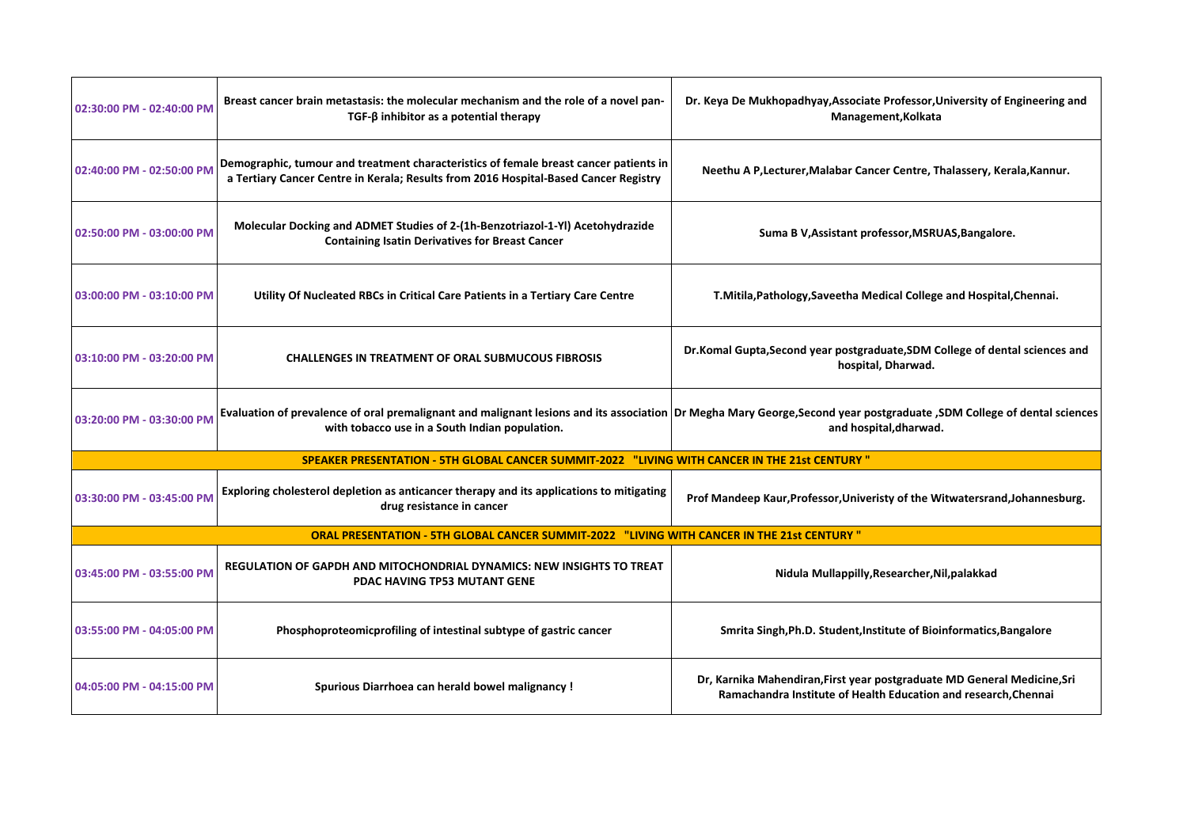| 02:30:00 PM - 02:40:00 PM | Breast cancer brain metastasis: the molecular mechanism and the role of a novel pan-<br>$TGF-\beta$ inhibitor as a potential therapy                                                                                      | Dr. Keya De Mukhopadhyay, Associate Professor, University of Engineering and<br>Management, Kolkata                                        |
|---------------------------|---------------------------------------------------------------------------------------------------------------------------------------------------------------------------------------------------------------------------|--------------------------------------------------------------------------------------------------------------------------------------------|
| 02:40:00 PM - 02:50:00 PM | Demographic, tumour and treatment characteristics of female breast cancer patients in<br>a Tertiary Cancer Centre in Kerala; Results from 2016 Hospital-Based Cancer Registry                                             | Neethu A P, Lecturer, Malabar Cancer Centre, Thalassery, Kerala, Kannur.                                                                   |
| 02:50:00 PM - 03:00:00 PM | Molecular Docking and ADMET Studies of 2-(1h-Benzotriazol-1-YI) Acetohydrazide<br><b>Containing Isatin Derivatives for Breast Cancer</b>                                                                                  | Suma B V, Assistant professor, MSRUAS, Bangalore.                                                                                          |
| 03:00:00 PM - 03:10:00 PM | Utility Of Nucleated RBCs in Critical Care Patients in a Tertiary Care Centre                                                                                                                                             | T.Mitila, Pathology, Saveetha Medical College and Hospital, Chennai.                                                                       |
| 03:10:00 PM - 03:20:00 PM | <b>CHALLENGES IN TREATMENT OF ORAL SUBMUCOUS FIBROSIS</b>                                                                                                                                                                 | Dr.Komal Gupta, Second year postgraduate, SDM College of dental sciences and<br>hospital, Dharwad.                                         |
| 03:20:00 PM - 03:30:00 PM | Evaluation of prevalence of oral premalignant and malignant lesions and its association Dr Megha Mary George, Second year postgraduate , SDM College of dental sciences<br>with tobacco use in a South Indian population. | and hospital, dharwad.                                                                                                                     |
|                           | " SPEAKER PRESENTATION - 5TH GLOBAL CANCER SUMMIT-2022 "LIVING WITH CANCER IN THE 21st CENTURY                                                                                                                            |                                                                                                                                            |
| 03:30:00 PM - 03:45:00 PM | Exploring cholesterol depletion as anticancer therapy and its applications to mitigating<br>drug resistance in cancer                                                                                                     | Prof Mandeep Kaur, Professor, Univeristy of the Witwatersrand, Johannesburg.                                                               |
|                           | ORAL PRESENTATION - 5TH GLOBAL CANCER SUMMIT-2022 "LIVING WITH CANCER IN THE 21st CENTURY"                                                                                                                                |                                                                                                                                            |
| 03:45:00 PM - 03:55:00 PM | <b>REGULATION OF GAPDH AND MITOCHONDRIAL DYNAMICS: NEW INSIGHTS TO TREAT</b><br><b>PDAC HAVING TP53 MUTANT GENE</b>                                                                                                       | Nidula Mullappilly, Researcher, Nil, palakkad                                                                                              |
| 03:55:00 PM - 04:05:00 PM | Phosphoproteomicprofiling of intestinal subtype of gastric cancer                                                                                                                                                         | Smrita Singh, Ph.D. Student, Institute of Bioinformatics, Bangalore                                                                        |
| 04:05:00 PM - 04:15:00 PM | Spurious Diarrhoea can herald bowel malignancy !                                                                                                                                                                          | Dr, Karnika Mahendiran, First year postgraduate MD General Medicine, Sri<br>Ramachandra Institute of Health Education and research.Chennai |